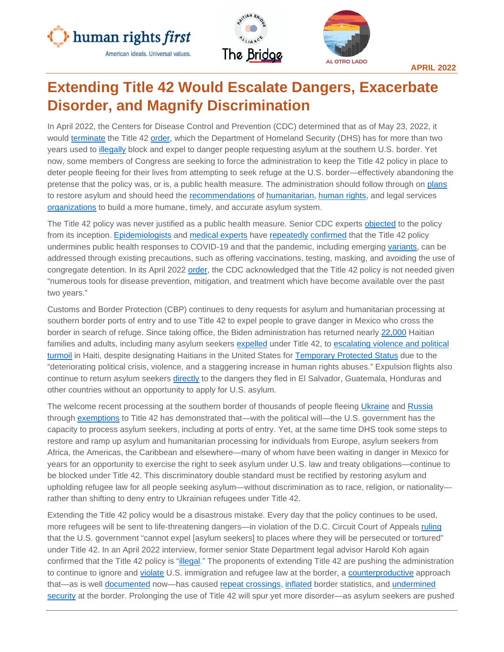





**APRIL 2022**

# **Extending Title 42 Would Escalate Dangers, Exacerbate Disorder, and Magnify Discrimination**

In April 2022, the Centers for Disease Control and Prevention (CDC) determined that as of May 23, 2022, it would [terminate](https://www.cdc.gov/coronavirus/2019-ncov/cdcresponse/Final-CDC-Order-Prohibiting-Introduction-of-Persons.pdf) the Title 42 [order,](https://www.cdc.gov/coronavirus/2019-ncov/downloads/CDC-Order-Suspending-Right-to-Introduce-_Final_8-2-21.pdf) which the Department of Homeland Security (DHS) has for more than two years used to [illegally](https://www.aclu.org/legal-document/huisha-huisha-v-mayorkas-appeals-court-decision) block and expel to danger people requesting asylum at the southern U.S. border. Yet now, some members of Congress are seeking to force the administration to keep the Title 42 policy in place to deter people fleeing for their lives from attempting to seek refuge at the U.S. border—effectively abandoning the pretense that the policy was, or is, a public health measure. The administration should follow through on [plans](https://www.cbp.gov/newsroom/speeches-and-statements/statement-us-customs-and-border-protection-commissioner-chris) to restore asylum and should heed the [recommendations](https://www.humanrightsfirst.org/resource/biden-administration-one-year-urgent-recommendations-upholding-us-refugee-law-restoring) of [humanitarian,](https://www.interfaithimmigration.org/2022/04/01/people-of-faith-on-title-42-announcement-rebuild-asylum-system-that-welcomes-with-dignity/) [human rights,](https://welcomewithdignity.org/wp-content/uploads/2021/10/wwd-recommendations.pdf) and legal services [organizations](https://static1.squarespace.com/static/5b60b2381aef1dbe876cd08f/t/6217c3b441832f6e36004d83/1645724602935/2022+Immigration+Priorities+-+A+Blueprint+for+Biden+Harris+Admin+-+02242022v.pdf) to build a more humane, timely, and accurate asylum system.

The Title 42 policy was never justified as a public health measure. Senior CDC experts [objected](https://apnews.com/article/virus-outbreak-pandemics-public-health-new-york-health-4ef0c6c5263815a26f8aa17f6ea490ae) to the policy from its inception. [Epidemiologists](https://www.publichealth.columbia.edu/research/program-forced-migration-and-health/press-release-epidemiologists-and-public-health-experts-implore-biden-administration-end-title-42) and [medical experts](https://www.publichealth.columbia.edu/node/76271) have [repeatedly](https://www.forbes.com/sites/alisondurkee/2021/10/03/fauci-says-immigrants-are-absolutely-not-driving-covid-19-surge-lets-face-reality-here/?sh=15a12909173d) [confirmed](https://www.tpr.org/border-immigration/2021-11-26/title-42-migrant-expulsions-had-no-basis-in-public-health-says-former-cdc-deputy-director) that the Title 42 policy undermines public health responses to COVID-19 and that the pandemic, including emerging [variants,](https://www.publichealth.columbia.edu/research/program-forced-migration-and-health/epidemiologists-and-public-health-experts-reiterate-urgent-call-end-title-42) can be addressed through existing precautions, such as offering vaccinations, testing, masking, and avoiding the use of congregate detention. In its April 2022 [order,](https://www.cdc.gov/coronavirus/2019-ncov/cdcresponse/Final-CDC-Order-Prohibiting-Introduction-of-Persons.pdf) the CDC acknowledged that the Title 42 policy is not needed given "numerous tools for disease prevention, mitigation, and treatment which have become available over the past two years."

Customs and Border Protection (CBP) continues to deny requests for asylum and humanitarian processing at southern border ports of entry and to use Title 42 to expel people to grave danger in Mexico who cross the border in search of refuge. Since taking office, the Biden administration has returned nearly [22,000](https://twitter.com/thcartwright/status/1517469326454009858) Haitian families and adults, including many asylum seekers [expelled](https://cgrs.uchastings.edu/sites/default/files/Tijuana%20Factsheet_2022.04.07%20FINAL%20v2_0.pdf) under Title 42, to escalating violence and political [turmoil](https://www.hrw.org/news/2022/03/24/haitians-being-returned-country-chaos) in Haiti, despite designating Haitians in the United States for [Temporary Protected Status](https://www.govinfo.gov/content/pkg/FR-2021-08-03/pdf/2021-16481.pdf) due to the "deteriorating political crisis, violence, and a staggering increase in human rights abuses." Expulsion flights also continue to return asylum seekers [directly](https://static1.squarespace.com/static/5e221cacff87ba2d2833cf54/t/624ad91f2c063a17ed77062a/1649072415527/ICE+Air+Mar+2022+v1THCPDF.pdf) to the dangers they fled in El Salvador, Guatemala, Honduras and other countries without an opportunity to apply for U.S. asylum.

The welcome recent processing at the southern border of thousands of people fleeing [Ukraine](https://www.cbsnews.com/news/immigration-ukraine-us-mexico-border/) and [Russia](https://www.vice.com/en/article/3abejb/the-us-admitted-a-group-of-russians-at-the-border-under-secret-deal-with-mexico) through [exemptions](https://drive.google.com/file/d/1glEe8MnsNWR15BsfQtiaSR75yKBrCuqe/view) to Title 42 has demonstrated that—with the political will—the U.S. government has the capacity to process asylum seekers, including at ports of entry. Yet, at the same time DHS took some steps to restore and ramp up asylum and humanitarian processing for individuals from Europe, asylum seekers from Africa, the Americas, the Caribbean and elsewhere—many of whom have been waiting in danger in Mexico for years for an opportunity to exercise the right to seek asylum under U.S. law and treaty obligations—continue to be blocked under Title 42. This discriminatory double standard must be rectified by restoring asylum and upholding refugee law for all people seeking asylum—without discrimination as to race, religion, or nationality rather than shifting to deny entry to Ukrainian refugees under Title 42.

Extending the Title 42 policy would be a disastrous mistake. Every day that the policy continues to be used, more refugees will be sent to life-threatening dangers—in violation of the D.C. Circuit Court of Appeals [ruling](https://www.acludc.org/sites/default/files/field_documents/huisha_ddc_decision_granting_class_cert_injunction_9.16.21.pdf) that the U.S. government "cannot expel [asylum seekers] to places where they will be persecuted or tortured" under Title 42. In an April 2022 interview, former senior State Department legal advisor Harold Koh again confirmed that the Title 42 policy is ["illegal.](https://www.wbur.org/onpoint/2022/04/20/the-legacy-of-title-42-immigration-covid-biden-border)" The proponents of extending Title 42 are pushing the administration to continue to ignore and [violate](https://www.humanrightsfirst.org/resource/ten-reasons-end-title-42-policy) U.S. immigration and refugee law at the border, a [counterproductive](https://www.humanrightsfirst.org/sites/default/files/Title42SpursDisorderUnderminesSecurity.pdf) approach that—as is well [documented](https://www.americanimmigrationcouncil.org/rising-border-encounters-in-2021) now—has caused [repeat crossings,](https://www.gao.gov/assets/gao-21-431.pdf) [inflated](https://www.cbp.gov/newsroom/national-media-release/cbp-releases-operational-fiscal-year-2021-statistics) border statistics, and [undermined](https://www.humanrightsfirst.org/sites/default/files/Title42SpursDisorderUnderminesSecurity.pdf)  [security](https://www.humanrightsfirst.org/sites/default/files/Title42SpursDisorderUnderminesSecurity.pdf) at the border. Prolonging the use of Title 42 will spur yet more disorder—as asylum seekers are pushed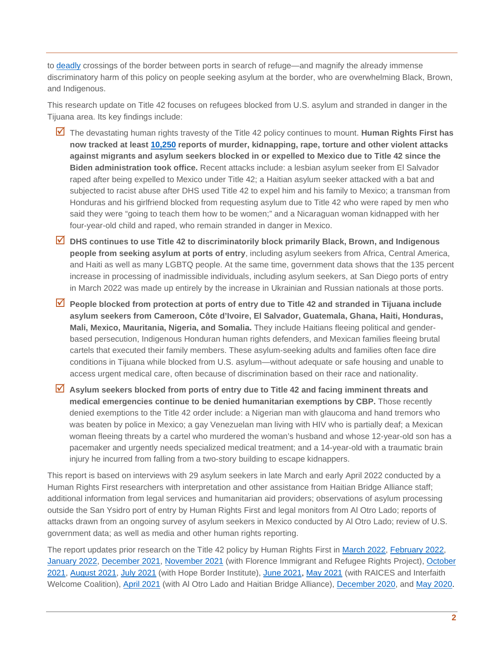to [deadly](https://www.washingtonpost.com/nation/2022/04/22/texas-soldier-drowns-border/) crossings of the border between ports in search of refuge—and magnify the already immense discriminatory harm of this policy on people seeking asylum at the border, who are overwhelming Black, Brown, and Indigenous.

This research update on Title 42 focuses on refugees blocked from U.S. asylum and stranded in danger in the Tijuana area. Its key findings include:

- The devastating human rights travesty of the Title 42 policy continues to mount. **Human Rights First has now tracked at least [10,250](https://www.humanrightsfirst.org/sites/default/files/Attacks%20on%20Asylum%20Seekers%20Blocked%2C%20Expelled%2C%20or%20Returned%20to%20Mexico%20During%20Biden%20Administration%204.26.2022.pdf) reports of murder, kidnapping, rape, torture and other violent attacks against migrants and asylum seekers blocked in or expelled to Mexico due to Title 42 since the Biden administration took office.** Recent attacks include: a lesbian asylum seeker from El Salvador raped after being expelled to Mexico under Title 42; a Haitian asylum seeker attacked with a bat and subjected to racist abuse after DHS used Title 42 to expel him and his family to Mexico; a transman from Honduras and his girlfriend blocked from requesting asylum due to Title 42 who were raped by men who said they were "going to teach them how to be women;" and a Nicaraguan woman kidnapped with her four-year-old child and raped, who remain stranded in danger in Mexico.
- **DHS continues to use Title 42 to discriminatorily block primarily Black, Brown, and Indigenous people from seeking asylum at ports of entry**, including asylum seekers from Africa, Central America, and Haiti as well as many LGBTQ people. At the same time, government data shows that the 135 percent increase in processing of inadmissible individuals, including asylum seekers, at San Diego ports of entry in March 2022 was made up entirely by the increase in Ukrainian and Russian nationals at those ports.
- **People blocked from protection at ports of entry due to Title 42 and stranded in Tijuana include asylum seekers from Cameroon, Côte d'Ivoire, El Salvador, Guatemala, Ghana, Haiti, Honduras, Mali, Mexico, Mauritania, Nigeria, and Somalia.** They include Haitians fleeing political and genderbased persecution, Indigenous Honduran human rights defenders, and Mexican families fleeing brutal cartels that executed their family members. These asylum-seeking adults and families often face dire conditions in Tijuana while blocked from U.S. asylum—without adequate or safe housing and unable to access urgent medical care, often because of discrimination based on their race and nationality.
- **Asylum seekers blocked from ports of entry due to Title 42 and facing imminent threats and medical emergencies continue to be denied humanitarian exemptions by CBP.** Those recently denied exemptions to the Title 42 order include: a Nigerian man with glaucoma and hand tremors who was beaten by police in Mexico; a gay Venezuelan man living with HIV who is partially deaf; a Mexican woman fleeing threats by a cartel who murdered the woman's husband and whose 12-year-old son has a pacemaker and urgently needs specialized medical treatment; and a 14-year-old with a traumatic brain injury he incurred from falling from a two-story building to escape kidnappers.

This report is based on interviews with 29 asylum seekers in late March and early April 2022 conducted by a Human Rights First researchers with interpretation and other assistance from Haitian Bridge Alliance staff; additional information from legal services and humanitarian aid providers; observations of asylum processing outside the San Ysidro port of entry by Human Rights First and legal monitors from Al Otro Lado; reports of attacks drawn from an ongoing survey of asylum seekers in Mexico conducted by Al Otro Lado; review of U.S. government data; as well as media and other human rights reporting.

The report updates prior research on the Title 42 policy by Human Rights First in [March 2022,](https://www.humanrightsfirst.org/sites/default/files/TwoYearsofSuffering.pdf) [February 2022,](https://www.humanrightsfirst.org/sites/default/files/ArizonaBorderAsylumProcessingFactsheet.pdf) [January](https://www.humanrightsfirst.org/resource/shameful-record-biden-administration-s-use-trump-policies-endangers-people-seeking-asylum) [2022,](https://www.humanrightsfirst.org/resource/shameful-record-biden-administration-s-use-trump-policies-endangers-people-seeking-asylum) [December 2021,](https://www.humanrightsfirst.org/resource/inhumane-again-remain-mexico-rollout-confirms-endemic-flaws-unfixable-policy) [November 2021](https://www.humanrightsfirst.org/resource/border-restrictions-lift-biden-administration-blocks-protection-asylum-seekers-and-children) [\(](https://www.humanrightsfirst.org/resource/border-restrictions-lift-biden-administration-blocks-protection-asylum-seekers-and-children)with Florence Immigrant and Refugee Rights Project), [October](https://www.humanrightsfirst.org/sites/default/files/IllegalandInhumane.pdf) [2021,](https://www.humanrightsfirst.org/sites/default/files/IllegalandInhumane.pdf) [August 2021,](https://www.humanrightsfirst.org/resource/human-rights-travesty-biden-administration-embrace-trump-asylum-expulsion-policy-endangers) [July 2021](https://www.humanrightsfirst.org/resource/disorderly-and-inhumane-biden-administration-continues-expel-asylum-seekers-danger-while-us) [\(](https://www.humanrightsfirst.org/resource/disorderly-and-inhumane-biden-administration-continues-expel-asylum-seekers-danger-while-us)with Hope Border Institute), [June 2021](https://www.humanrightsfirst.org/resource/update-grave-dangers-continue-asylum-seekers-blocked-expelled-mexico-biden-administration)[,](https://www.humanrightsfirst.org/resource/disorderly-and-inhumane-biden-administration-continues-expel-asylum-seekers-danger-while-us) [May 2021](https://www.humanrightsfirst.org/resource/biden-administration-title-42-expulsions-families-and-adults-nuevo-laredo-fuel-kidnappings) [\(w](https://www.humanrightsfirst.org/resource/biden-administration-title-42-expulsions-families-and-adults-nuevo-laredo-fuel-kidnappings)ith RAICES and Interfaith Welcome Coalition), [April 2021](https://www.humanrightsfirst.org/resource/failure-protect-biden-administration-continues-illegal-trump-policy-block-and-expel-asylum) [\(](https://www.humanrightsfirst.org/resource/failure-protect-biden-administration-continues-illegal-trump-policy-block-and-expel-asylum)with Al Otro Lado and Haitian Bridge Alliance), [December 2020,](https://www.humanrightsfirst.org/resource/humanitarian-disgrace-us-continues-illegally-block-expel-refugees-danger) and [May 2020.](https://www.humanrightsfirst.org/resource/pandemic-pretext-trump-administration-exploits-covid-19-expels-asylum-seekers-and-children)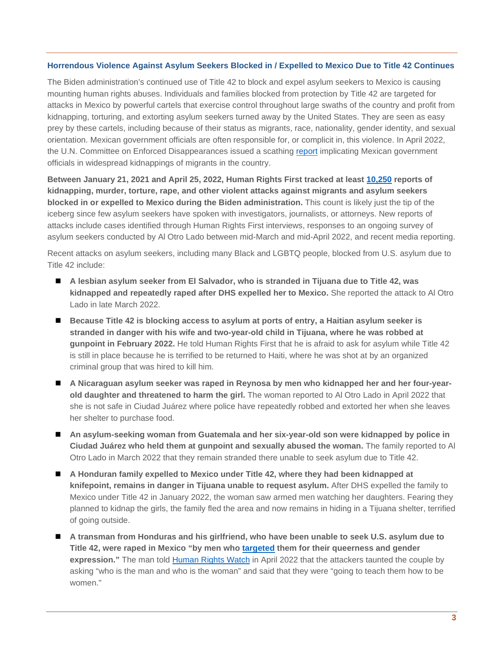#### **Horrendous Violence Against Asylum Seekers Blocked in / Expelled to Mexico Due to Title 42 Continues**

The Biden administration's continued use of Title 42 to block and expel asylum seekers to Mexico is causing mounting human rights abuses. Individuals and families blocked from protection by Title 42 are targeted for attacks in Mexico by powerful cartels that exercise control throughout large swaths of the country and profit from kidnapping, torturing, and extorting asylum seekers turned away by the United States. They are seen as easy prey by these cartels, including because of their status as migrants, race, nationality, gender identity, and sexual orientation. Mexican government officials are often responsible for, or complicit in, this violence. In April 2022, the U.N. Committee on Enforced Disappearances issued a scathing [report](https://www.ohchr.org/en/press-releases/2022/04/mexico-prevention-must-be-central-national-policy-stop-enforced) implicating Mexican government officials in widespread kidnappings of migrants in the country.

**Between January 21, 2021 and April 25, 2022, Human Rights First tracked at least [10,250](https://www.humanrightsfirst.org/sites/default/files/Attacks%20on%20Asylum%20Seekers%20Blocked%2C%20Expelled%2C%20or%20Returned%20to%20Mexico%20During%20Biden%20Administration%204.26.2022.pdf) reports of kidnapping, murder, torture, rape, and other violent attacks against migrants and asylum seekers blocked in or expelled to Mexico during the Biden administration.** This count is likely just the tip of the iceberg since few asylum seekers have spoken with investigators, journalists, or attorneys. New reports of attacks include cases identified through Human Rights First interviews, responses to an ongoing survey of asylum seekers conducted by Al Otro Lado between mid-March and mid-April 2022, and recent media reporting.

Recent attacks on asylum seekers, including many Black and LGBTQ people, blocked from U.S. asylum due to Title 42 include:

- **A lesbian asylum seeker from El Salvador, who is stranded in Tijuana due to Title 42, was kidnapped and repeatedly raped after DHS expelled her to Mexico.** She reported the attack to Al Otro Lado in late March 2022.
- **Because Title 42 is blocking access to asylum at ports of entry, a Haitian asylum seeker is stranded in danger with his wife and two-year-old child in Tijuana, where he was robbed at gunpoint in February 2022.** He told Human Rights First that he is afraid to ask for asylum while Title 42 is still in place because he is terrified to be returned to Haiti, where he was shot at by an organized criminal group that was hired to kill him.
- **A Nicaraguan asylum seeker was raped in Reynosa by men who kidnapped her and her four-yearold daughter and threatened to harm the girl.** The woman reported to Al Otro Lado in April 2022 that she is not safe in Ciudad Juárez where police have repeatedly robbed and extorted her when she leaves her shelter to purchase food.
- **An asylum-seeking woman from Guatemala and her six-year-old son were kidnapped by police in Ciudad Juárez who held them at gunpoint and sexually abused the woman.** The family reported to Al Otro Lado in March 2022 that they remain stranded there unable to seek asylum due to Title 42.
- A Honduran family expelled to Mexico under Title 42, where they had been kidnapped at **knifepoint, remains in danger in Tijuana unable to request asylum.** After DHS expelled the family to Mexico under Title 42 in January 2022, the woman saw armed men watching her daughters. Fearing they planned to kidnap the girls, the family fled the area and now remains in hiding in a Tijuana shelter, terrified of going outside.
- **A transman from Honduras and his girlfriend, who have been unable to seek U.S. asylum due to Title 42, were raped in Mexico "by men who [targeted](https://twitter.com/AriMSawyer/status/1516784901860720642) them for their queerness and gender expression."** The man told [Human Rights Watch](https://twitter.com/AriMSawyer/status/1516784901860720642) in April 2022 that the attackers taunted the couple by asking "who is the man and who is the woman" and said that they were "going to teach them how to be women."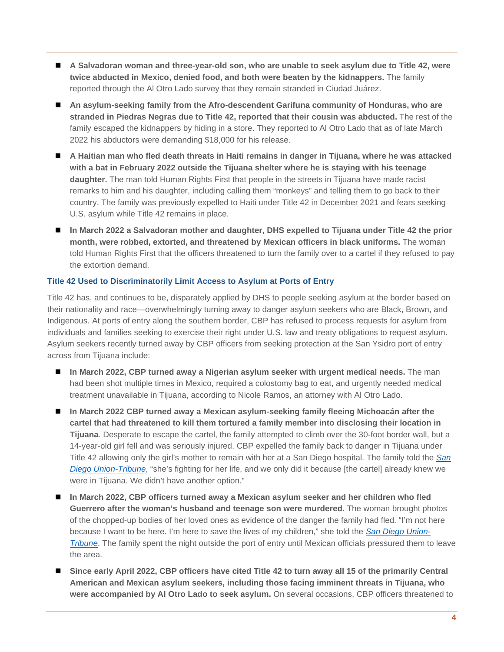- **A Salvadoran woman and three-year-old son, who are unable to seek asylum due to Title 42, were twice abducted in Mexico, denied food, and both were beaten by the kidnappers.** The family reported through the Al Otro Lado survey that they remain stranded in Ciudad Juárez.
- **An asylum-seeking family from the Afro-descendent Garifuna community of Honduras, who are stranded in Piedras Negras due to Title 42, reported that their cousin was abducted.** The rest of the family escaped the kidnappers by hiding in a store. They reported to Al Otro Lado that as of late March 2022 his abductors were demanding \$18,000 for his release.
- **A Haitian man who fled death threats in Haiti remains in danger in Tijuana, where he was attacked with a bat in February 2022 outside the Tijuana shelter where he is staying with his teenage daughter.** The man told Human Rights First that people in the streets in Tijuana have made racist remarks to him and his daughter, including calling them "monkeys" and telling them to go back to their country. The family was previously expelled to Haiti under Title 42 in December 2021 and fears seeking U.S. asylum while Title 42 remains in place.
- **In March 2022 a Salvadoran mother and daughter, DHS expelled to Tijuana under Title 42 the prior month, were robbed, extorted, and threatened by Mexican officers in black uniforms.** The woman told Human Rights First that the officers threatened to turn the family over to a cartel if they refused to pay the extortion demand.

## **Title 42 Used to Discriminatorily Limit Access to Asylum at Ports of Entry**

Title 42 has, and continues to be, disparately applied by DHS to people seeking asylum at the border based on their nationality and race—overwhelmingly turning away to danger asylum seekers who are Black, Brown, and Indigenous. At ports of entry along the southern border, CBP has refused to process requests for asylum from individuals and families seeking to exercise their right under U.S. law and treaty obligations to request asylum. Asylum seekers recently turned away by CBP officers from seeking protection at the San Ysidro port of entry across from Tijuana include:

- **In March 2022, CBP turned away a Nigerian asylum seeker with urgent medical needs.** The man had been shot multiple times in Mexico, required a colostomy bag to eat, and urgently needed medical treatment unavailable in Tijuana, according to Nicole Ramos, an attorney with Al Otro Lado.
- **In March 2022 CBP turned away a Mexican asylum-seeking family fleeing Michoacán after the cartel that had threatened to kill them tortured a family member into disclosing their location in Tijuana**. Desperate to escape the cartel, the family attempted to climb over the 30-foot border wall, but a 14-year-old girl fell and was seriously injured. CBP expelled the family back to danger in Tijuana under Title 42 allowing only the girl's mother to remain with her at a San Diego hospital. The family told the *[San](https://www.sandiegouniontribune.com/news/immigration/story/2022-03-19/ukrainians-border-title-42)  [Diego Union-Tribune](https://www.sandiegouniontribune.com/news/immigration/story/2022-03-19/ukrainians-border-title-42)*, "she's fighting for her life, and we only did it because [the cartel] already knew we were in Tijuana. We didn't have another option."
- **In March 2022, CBP officers turned away a Mexican asylum seeker and her children who fled Guerrero after the woman's husband and teenage son were murdered.** The woman brought photos of the chopped-up bodies of her loved ones as evidence of the danger the family had fled. "I'm not here because I want to be here. I'm here to save the lives of my children," she told the *[San Diego Union-](https://www.sandiegouniontribune.com/news/immigration/story/2022-03-19/ukrainians-border-title-42)[Tribune](https://www.sandiegouniontribune.com/news/immigration/story/2022-03-19/ukrainians-border-title-42)*. The family spent the night outside the port of entry until Mexican officials pressured them to leave the area.
- **Since early April 2022, CBP officers have cited Title 42 to turn away all 15 of the primarily Central American and Mexican asylum seekers, including those facing imminent threats in Tijuana, who were accompanied by Al Otro Lado to seek asylum.** On several occasions, CBP officers threatened to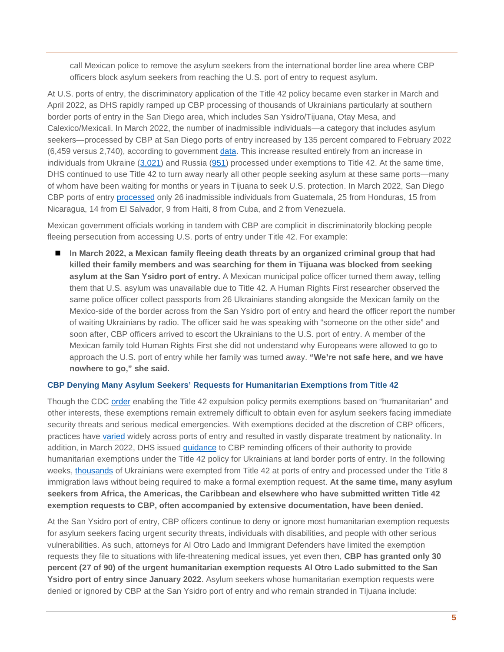call Mexican police to remove the asylum seekers from the international border line area where CBP officers block asylum seekers from reaching the U.S. port of entry to request asylum.

At U.S. ports of entry, the discriminatory application of the Title 42 policy became even starker in March and April 2022, as DHS rapidly ramped up CBP processing of thousands of Ukrainians particularly at southern border ports of entry in the San Diego area, which includes San Ysidro/Tijuana, Otay Mesa, and Calexico/Mexicali. In March 2022, the number of inadmissible individuals—a category that includes asylum seekers—processed by CBP at San Diego ports of entry increased by 135 percent compared to February 2022 (6,459 versus 2,740), according to government [data.](https://www.cbp.gov/newsroom/stats/nationwide-encounters) This increase resulted entirely from an increase in individuals from Ukraine [\(3,021\)](https://www.cbp.gov/newsroom/stats/nationwide-encounters) and Russia [\(951\)](https://www.cbp.gov/newsroom/stats/nationwide-encounters) processed under exemptions to Title 42. At the same time, DHS continued to use Title 42 to turn away nearly all other people seeking asylum at these same ports—many of whom have been waiting for months or years in Tijuana to seek U.S. protection. In March 2022, San Diego CBP ports of entry [processed](https://www.cbp.gov/newsroom/stats/nationwide-encounters) only 26 inadmissible individuals from Guatemala, 25 from Honduras, 15 from Nicaragua, 14 from El Salvador, 9 from Haiti, 8 from Cuba, and 2 from Venezuela.

Mexican government officials working in tandem with CBP are complicit in discriminatorily blocking people fleeing persecution from accessing U.S. ports of entry under Title 42. For example:

■ In March 2022, a Mexican family fleeing death threats by an organized criminal group that had **killed their family members and was searching for them in Tijuana was blocked from seeking asylum at the San Ysidro port of entry.** A Mexican municipal police officer turned them away, telling them that U.S. asylum was unavailable due to Title 42. A Human Rights First researcher observed the same police officer collect passports from 26 Ukrainians standing alongside the Mexican family on the Mexico-side of the border across from the San Ysidro port of entry and heard the officer report the number of waiting Ukrainians by radio. The officer said he was speaking with "someone on the other side" and soon after, CBP officers arrived to escort the Ukrainians to the U.S. port of entry. A member of the Mexican family told Human Rights First she did not understand why Europeans were allowed to go to approach the U.S. port of entry while her family was turned away. **"We're not safe here, and we have nowhere to go," she said.**

#### **CBP Denying Many Asylum Seekers' Requests for Humanitarian Exemptions from Title 42**

Though the CDC [order](https://www.govinfo.gov/content/pkg/FR-2021-08-05/pdf/2021-16856.pdf) enabling the Title 42 expulsion policy permits exemptions based on "humanitarian" and other interests, these exemptions remain extremely difficult to obtain even for asylum seekers facing immediate security threats and serious medical emergencies. With exemptions decided at the discretion of CBP officers, practices have [varied](https://www.humanrightsfirst.org/sites/default/files/ShamefulRecord.pdf) widely across ports of entry and resulted in vastly disparate treatment by nationality. In addition, in March 2022, DHS issued [guidance](https://drive.google.com/file/d/1glEe8MnsNWR15BsfQtiaSR75yKBrCuqe/view) to CBP reminding officers of their authority to provide humanitarian exemptions under the Title 42 policy for Ukrainians at land border ports of entry. In the following weeks, [thousands](https://www.cbp.gov/newsroom/stats/nationwide-encounters) of Ukrainians were exempted from Title 42 at ports of entry and processed under the Title 8 immigration laws without being required to make a formal exemption request. **At the same time, many asylum seekers from Africa, the Americas, the Caribbean and elsewhere who have submitted written Title 42 exemption requests to CBP, often accompanied by extensive documentation, have been denied.** 

At the San Ysidro port of entry, CBP officers continue to deny or ignore most humanitarian exemption requests for asylum seekers facing urgent security threats, individuals with disabilities, and people with other serious vulnerabilities. As such, attorneys for Al Otro Lado and Immigrant Defenders have limited the exemption requests they file to situations with life-threatening medical issues, yet even then, **CBP has granted only 30 percent (27 of 90) of the urgent humanitarian exemption requests Al Otro Lado submitted to the San Ysidro port of entry since January 2022**. Asylum seekers whose humanitarian exemption requests were denied or ignored by CBP at the San Ysidro port of entry and who remain stranded in Tijuana include: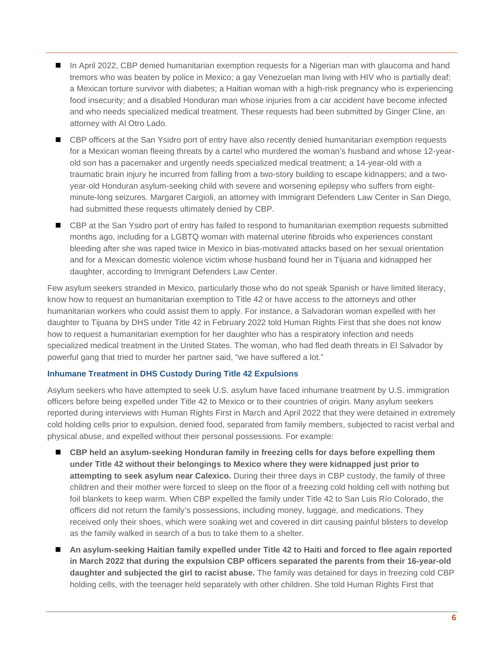- In April 2022, CBP denied humanitarian exemption requests for a Nigerian man with glaucoma and hand tremors who was beaten by police in Mexico; a gay Venezuelan man living with HIV who is partially deaf; a Mexican torture survivor with diabetes; a Haitian woman with a high-risk pregnancy who is experiencing food insecurity; and a disabled Honduran man whose injuries from a car accident have become infected and who needs specialized medical treatment. These requests had been submitted by Ginger Cline, an attorney with Al Otro Lado.
- CBP officers at the San Ysidro port of entry have also recently denied humanitarian exemption requests for a Mexican woman fleeing threats by a cartel who murdered the woman's husband and whose 12-yearold son has a pacemaker and urgently needs specialized medical treatment; a 14-year-old with a traumatic brain injury he incurred from falling from a two-story building to escape kidnappers; and a twoyear-old Honduran asylum-seeking child with severe and worsening epilepsy who suffers from eightminute-long seizures. Margaret Cargioli, an attorney with Immigrant Defenders Law Center in San Diego, had submitted these requests ultimately denied by CBP.
- CBP at the San Ysidro port of entry has failed to respond to humanitarian exemption requests submitted months ago, including for a LGBTQ woman with maternal uterine fibroids who experiences constant bleeding after she was raped twice in Mexico in bias-motivated attacks based on her sexual orientation and for a Mexican domestic violence victim whose husband found her in Tijuana and kidnapped her daughter, according to Immigrant Defenders Law Center.

Few asylum seekers stranded in Mexico, particularly those who do not speak Spanish or have limited literacy, know how to request an humanitarian exemption to Title 42 or have access to the attorneys and other humanitarian workers who could assist them to apply. For instance, a Salvadoran woman expelled with her daughter to Tijuana by DHS under Title 42 in February 2022 told Human Rights First that she does not know how to request a humanitarian exemption for her daughter who has a respiratory infection and needs specialized medical treatment in the United States. The woman, who had fled death threats in El Salvador by powerful gang that tried to murder her partner said, "we have suffered a lot."

#### **Inhumane Treatment in DHS Custody During Title 42 Expulsions**

Asylum seekers who have attempted to seek U.S. asylum have faced inhumane treatment by U.S. immigration officers before being expelled under Title 42 to Mexico or to their countries of origin. Many asylum seekers reported during interviews with Human Rights First in March and April 2022 that they were detained in extremely cold holding cells prior to expulsion, denied food, separated from family members, subjected to racist verbal and physical abuse, and expelled without their personal possessions. For example:

- **CBP held an asylum-seeking Honduran family in freezing cells for days before expelling them under Title 42 without their belongings to Mexico where they were kidnapped just prior to attempting to seek asylum near Calexico.** During their three days in CBP custody, the family of three children and their mother were forced to sleep on the floor of a freezing cold holding cell with nothing but foil blankets to keep warm. When CBP expelled the family under Title 42 to San Luis Río Colorado, the officers did not return the family's possessions, including money, luggage, and medications. They received only their shoes, which were soaking wet and covered in dirt causing painful blisters to develop as the family walked in search of a bus to take them to a shelter.
- **An asylum-seeking Haitian family expelled under Title 42 to Haiti and forced to flee again reported in March 2022 that during the expulsion CBP officers separated the parents from their 16-year-old daughter and subjected the girl to racist abuse.** The family was detained for days in freezing cold CBP holding cells, with the teenager held separately with other children. She told Human Rights First that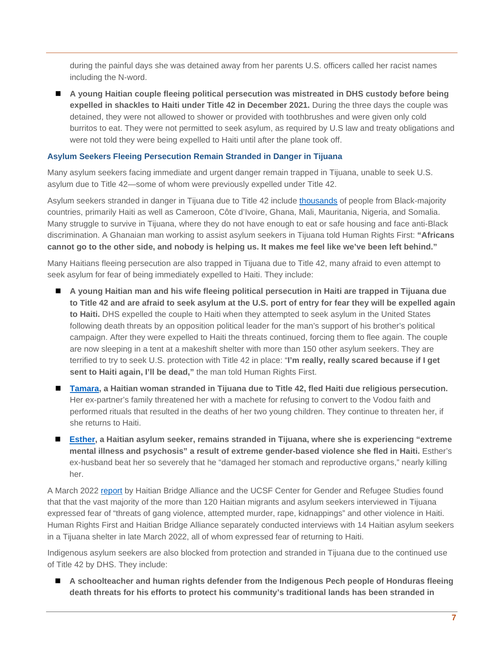during the painful days she was detained away from her parents U.S. officers called her racist names including the N-word.

 **A young Haitian couple fleeing political persecution was mistreated in DHS custody before being expelled in shackles to Haiti under Title 42 in December 2021.** During the three days the couple was detained, they were not allowed to shower or provided with toothbrushes and were given only cold burritos to eat. They were not permitted to seek asylum, as required by U.S law and treaty obligations and were not told they were being expelled to Haiti until after the plane took off.

### **Asylum Seekers Fleeing Persecution Remain Stranded in Danger in Tijuana**

Many asylum seekers facing immediate and urgent danger remain trapped in Tijuana, unable to seek U.S. asylum due to Title 42—some of whom were previously expelled under Title 42.

Asylum seekers stranded in danger in Tijuana due to Title 42 include [thousands](https://cgrs.uchastings.edu/sites/default/files/Tijuana%20Factsheet_2022.04.07%20FINAL%20v2_0.pdf) of people from Black-majority countries, primarily Haiti as well as Cameroon, Côte d'Ivoire, Ghana, Mali, Mauritania, Nigeria, and Somalia. Many struggle to survive in Tijuana, where they do not have enough to eat or safe housing and face anti-Black discrimination. A Ghanaian man working to assist asylum seekers in Tijuana told Human Rights First: **"Africans cannot go to the other side, and nobody is helping us. It makes me feel like we've been left behind."**

Many Haitians fleeing persecution are also trapped in Tijuana due to Title 42, many afraid to even attempt to seek asylum for fear of being immediately expelled to Haiti. They include:

- **A young Haitian man and his wife fleeing political persecution in Haiti are trapped in Tijuana due to Title 42 and are afraid to seek asylum at the U.S. port of entry for fear they will be expelled again to Haiti.** DHS expelled the couple to Haiti when they attempted to seek asylum in the United States following death threats by an opposition political leader for the man's support of his brother's political campaign. After they were expelled to Haiti the threats continued, forcing them to flee again. The couple are now sleeping in a tent at a makeshift shelter with more than 150 other asylum seekers. They are terrified to try to seek U.S. protection with Title 42 in place: "**I'm really, really scared because if I get sent to Haiti again, I'll be dead,"** the man told Human Rights First.
- **[Tamara,](https://cgrs.uchastings.edu/sites/default/files/Tijuana%20Factsheet_2022.04.07%20FINAL%20v2_0.pdf) a Haitian woman stranded in Tijuana due to Title 42, fled Haiti due religious persecution.** Her ex-partner's family threatened her with a machete for refusing to convert to the Vodou faith and performed rituals that resulted in the deaths of her two young children. They continue to threaten her, if she returns to Haiti.
- **[Esther,](https://cgrs.uchastings.edu/sites/default/files/Tijuana%20Factsheet_2022.04.07%20FINAL%20v2_0.pdf) a Haitian asylum seeker, remains stranded in Tijuana, where she is experiencing "extreme mental illness and psychosis" a result of extreme gender-based violence she fled in Haiti.** Esther's ex-husband beat her so severely that he "damaged her stomach and reproductive organs," nearly killing her.

A March 2022 [report](https://cgrs.uchastings.edu/sites/default/files/Tijuana%20Factsheet_2022.04.07%20FINAL%20v2_0.pdf) by Haitian Bridge Alliance and the UCSF Center for Gender and Refugee Studies found that that the vast majority of the more than 120 Haitian migrants and asylum seekers interviewed in Tijuana expressed fear of "threats of gang violence, attempted murder, rape, kidnappings" and other violence in Haiti. Human Rights First and Haitian Bridge Alliance separately conducted interviews with 14 Haitian asylum seekers in a Tijuana shelter in late March 2022, all of whom expressed fear of returning to Haiti.

Indigenous asylum seekers are also blocked from protection and stranded in Tijuana due to the continued use of Title 42 by DHS. They include:

 **A schoolteacher and human rights defender from the Indigenous Pech people of Honduras fleeing death threats for his efforts to protect his community's traditional lands has been stranded in**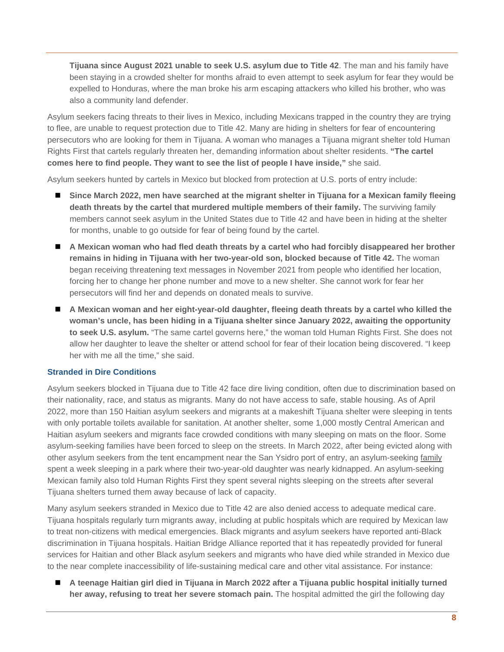**Tijuana since August 2021 unable to seek U.S. asylum due to Title 42**. The man and his family have been staying in a crowded shelter for months afraid to even attempt to seek asylum for fear they would be expelled to Honduras, where the man broke his arm escaping attackers who killed his brother, who was also a community land defender.

Asylum seekers facing threats to their lives in Mexico, including Mexicans trapped in the country they are trying to flee, are unable to request protection due to Title 42. Many are hiding in shelters for fear of encountering persecutors who are looking for them in Tijuana. A woman who manages a Tijuana migrant shelter told Human Rights First that cartels regularly threaten her, demanding information about shelter residents. **"The cartel comes here to find people. They want to see the list of people I have inside,"** she said.

Asylum seekers hunted by cartels in Mexico but blocked from protection at U.S. ports of entry include:

- Since March 2022, men have searched at the migrant shelter in Tijuana for a Mexican family fleeing **death threats by the cartel that murdered multiple members of their family.** The surviving family members cannot seek asylum in the United States due to Title 42 and have been in hiding at the shelter for months, unable to go outside for fear of being found by the cartel.
- **A Mexican woman who had fled death threats by a cartel who had forcibly disappeared her brother remains in hiding in Tijuana with her two-year-old son, blocked because of Title 42.** The woman began receiving threatening text messages in November 2021 from people who identified her location, forcing her to change her phone number and move to a new shelter. She cannot work for fear her persecutors will find her and depends on donated meals to survive.
- A Mexican woman and her eight-year-old daughter, fleeing death threats by a cartel who killed the **woman's uncle, has been hiding in a Tijuana shelter since January 2022, awaiting the opportunity to seek U.S. asylum.** "The same cartel governs here," the woman told Human Rights First. She does not allow her daughter to leave the shelter or attend school for fear of their location being discovered. "I keep her with me all the time," she said.

#### **Stranded in Dire Conditions**

Asylum seekers blocked in Tijuana due to Title 42 face dire living condition, often due to discrimination based on their nationality, race, and status as migrants. Many do not have access to safe, stable housing. As of April 2022, more than 150 Haitian asylum seekers and migrants at a makeshift Tijuana shelter were sleeping in tents with only portable toilets available for sanitation. At another shelter, some 1,000 mostly Central American and Haitian asylum seekers and migrants face crowded conditions with many sleeping on mats on the floor. Some asylum-seeking families have been forced to sleep on the streets. In March 2022, after being evicted along with other asylum seekers from the tent encampment near the San Ysidro port of entry, an asylum-seeking [family](https://www.sandiegouniontribune.com/news/immigration/story/2022-03-27/asylum-seekers-tijuana-tent-camp) spent a week sleeping in a park where their two-year-old daughter was nearly kidnapped. An asylum-seeking Mexican family also told Human Rights First they spent several nights sleeping on the streets after several Tijuana shelters turned them away because of lack of capacity.

Many asylum seekers stranded in Mexico due to Title 42 are also denied access to adequate medical care. Tijuana hospitals regularly turn migrants away, including at public hospitals which are required by Mexican law to treat non-citizens with medical emergencies. Black migrants and asylum seekers have reported anti-Black discrimination in Tijuana hospitals. Haitian Bridge Alliance reported that it has repeatedly provided for funeral services for Haitian and other Black asylum seekers and migrants who have died while stranded in Mexico due to the near complete inaccessibility of life-sustaining medical care and other vital assistance. For instance:

 **A teenage Haitian girl died in Tijuana in March 2022 after a Tijuana public hospital initially turned her away, refusing to treat her severe stomach pain.** The hospital admitted the girl the following day